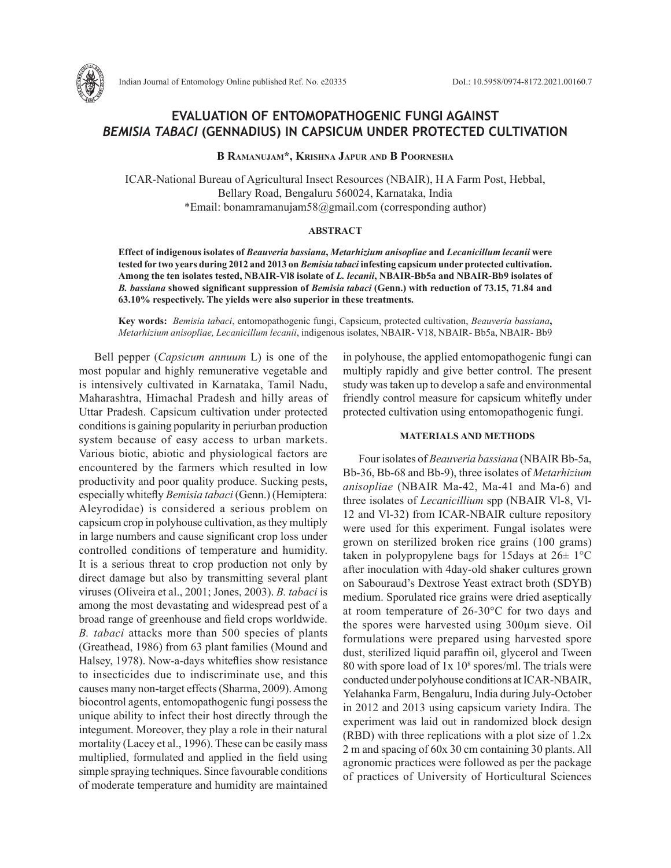

**B Ramanujam\*, Krishna Japur and B Poornesha**

ICAR-National Bureau of Agricultural Insect Resources (NBAIR), H A Farm Post, Hebbal, Bellary Road, Bengaluru 560024, Karnataka, India \*Email: bonamramanujam58@gmail.com (corresponding author)

# **ABSTRACT**

**Effect of indigenous isolates of** *Beauveria bassiana***,** *Metarhizium anisopliae* **and** *Lecanicillum lecanii* **were tested for two years during 2012 and 2013 on** *Bemisia tabaci* **infesting capsicum under protected cultivation. Among the ten isolates tested, NBAIR-Vl8 isolate of** *L. lecanii***, NBAIR-Bb5a and NBAIR-Bb9 isolates of**  *B. bassiana* **showed significant suppression of** *Bemisia tabaci* **(Genn.) with reduction of 73.15, 71.84 and 63.10% respectively. The yields were also superior in these treatments.**

**Key words:** *Bemisia tabaci*, entomopathogenic fungi, Capsicum, protected cultivation, *Beauveria bassiana***,**  *Metarhizium anisopliae, Lecanicillum lecanii*, indigenous isolates, NBAIR- V18, NBAIR- Bb5a, NBAIR- Bb9

Bell pepper (*Capsicum annuum* L) is one of the most popular and highly remunerative vegetable and is intensively cultivated in Karnataka, Tamil Nadu, Maharashtra, Himachal Pradesh and hilly areas of Uttar Pradesh. Capsicum cultivation under protected conditions is gaining popularity in periurban production system because of easy access to urban markets. Various biotic, abiotic and physiological factors are encountered by the farmers which resulted in low productivity and poor quality produce. Sucking pests, especially whitefly *Bemisia tabaci* (Genn.) (Hemiptera: Aleyrodidae) is considered a serious problem on capsicum crop in polyhouse cultivation, as they multiply in large numbers and cause significant crop loss under controlled conditions of temperature and humidity. It is a serious threat to crop production not only by direct damage but also by transmitting several plant viruses (Oliveira et al., 2001; Jones, 2003). *B. tabaci* is among the most devastating and widespread pest of a broad range of greenhouse and field crops worldwide. *B. tabaci* attacks more than 500 species of plants (Greathead, 1986) from 63 plant families (Mound and Halsey, 1978). Now-a-days whiteflies show resistance to insecticides due to indiscriminate use, and this causes many non-target effects (Sharma, 2009). Among biocontrol agents, entomopathogenic fungi possess the unique ability to infect their host directly through the integument. Moreover, they play a role in their natural mortality (Lacey et al., 1996). These can be easily mass multiplied, formulated and applied in the field using simple spraying techniques. Since favourable conditions of moderate temperature and humidity are maintained

in polyhouse, the applied entomopathogenic fungi can multiply rapidly and give better control. The present study was taken up to develop a safe and environmental friendly control measure for capsicum whitefly under protected cultivation using entomopathogenic fungi.

## **MATERIALS AND METHODS**

Four isolates of *Beauveria bassiana* (NBAIR Bb-5a, Bb-36, Bb-68 and Bb-9), three isolates of *Metarhizium anisopliae* (NBAIR Ma-42, Ma-41 and Ma-6) and three isolates of *Lecanicillium* spp (NBAIR Vl-8, Vl-12 and Vl-32) from ICAR-NBAIR culture repository were used for this experiment. Fungal isolates were grown on sterilized broken rice grains (100 grams) taken in polypropylene bags for 15 days at  $26 \pm 1$ °C after inoculation with 4day-old shaker cultures grown on Sabouraud's Dextrose Yeast extract broth (SDYB) medium. Sporulated rice grains were dried aseptically at room temperature of 26-30°C for two days and the spores were harvested using 300µm sieve. Oil formulations were prepared using harvested spore dust, sterilized liquid paraffin oil, glycerol and Tween 80 with spore load of  $1x\ 10^8$  spores/ml. The trials were conducted under polyhouse conditions at ICAR-NBAIR, Yelahanka Farm, Bengaluru, India during July-October in 2012 and 2013 using capsicum variety Indira. The experiment was laid out in randomized block design (RBD) with three replications with a plot size of 1.2x 2 m and spacing of 60x 30 cm containing 30 plants. All agronomic practices were followed as per the package of practices of University of Horticultural Sciences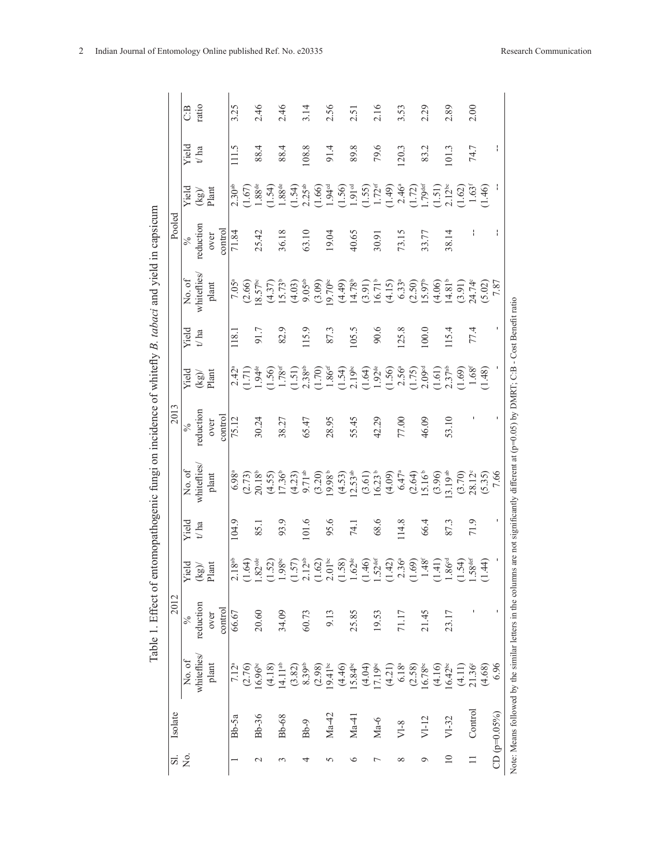| í                      |  |
|------------------------|--|
|                        |  |
|                        |  |
| $-20.4$ M $+20.7$<br>ĺ |  |
|                        |  |
|                        |  |
| .<br>.<br>.            |  |
| .<br>ی                 |  |
| ţ                      |  |
| is s si                |  |
|                        |  |
|                        |  |
| cs<br>I                |  |
| i<br>E                 |  |
|                        |  |

| <u>ದ</u>    | Isolate        |                                  | 2012      |                                                    |               |                                                                        | 2013          |                                                                                                                                                                                                                                                                                                               |         |                                                                                                                      | Pooled        |                                                                                                                 |              |       |
|-------------|----------------|----------------------------------|-----------|----------------------------------------------------|---------------|------------------------------------------------------------------------|---------------|---------------------------------------------------------------------------------------------------------------------------------------------------------------------------------------------------------------------------------------------------------------------------------------------------------------|---------|----------------------------------------------------------------------------------------------------------------------|---------------|-----------------------------------------------------------------------------------------------------------------|--------------|-------|
| ,<br>Ž      |                | No. of                           | $\%$      | Yield                                              | Yield         | No. of                                                                 | $\frac{6}{6}$ | Yield                                                                                                                                                                                                                                                                                                         | Yield   | No. of                                                                                                               | $\frac{6}{6}$ | Yield                                                                                                           | Yield        | C:B   |
|             |                | whiteflies/                      | reduction | $\mathbf{(kg)}$                                    | $t^\prime$ ha | whiteflies                                                             | reduction     | (kg)                                                                                                                                                                                                                                                                                                          | $t/\ln$ | whiteflies                                                                                                           | reduction     | $\overline{\mathrm{ (kg)}}$                                                                                     | $t\prime$ ha | ratio |
|             |                | plant                            | over      | lant                                               |               | plant                                                                  | over          | Plant                                                                                                                                                                                                                                                                                                         |         | plant                                                                                                                | over          |                                                                                                                 |              |       |
|             |                |                                  | control   |                                                    |               |                                                                        | control       |                                                                                                                                                                                                                                                                                                               |         |                                                                                                                      | control       |                                                                                                                 |              |       |
|             | $Bb-5a$        | 7.12 <sup>a</sup>                | 66.67     | 2.18 <sup>ab</sup>                                 | 104.9         | 6.98 <sup>a</sup>                                                      | 75.12         | $2.42^{\circ}$                                                                                                                                                                                                                                                                                                | 118.    | 7.05 <sup>a</sup>                                                                                                    | 71.84         | 2.30 <sup>ab</sup>                                                                                              | 111.5        | 3.25  |
|             |                |                                  |           | $(1.64)$ .82 $^{\rm{de}}$                          |               | $(2.73)$<br>20.18 <sup>b</sup>                                         |               | $(1.71)$<br>1.94 <sup>de</sup>                                                                                                                                                                                                                                                                                |         | $(2.66)$<br>18.57 <sup>bc</sup>                                                                                      |               |                                                                                                                 |              |       |
| $\mathbf 2$ | Bb-36          | $(2.76)$<br>16.96 <sup>bc</sup>  | 20.60     |                                                    | 85.1          |                                                                        | 30.24         |                                                                                                                                                                                                                                                                                                               | 91.7    |                                                                                                                      | 25.42         | $(1.67)$<br>1.88 <sup>de</sup>                                                                                  | 88.4         | 2.46  |
|             |                | (4.18)                           |           | (1.52)                                             |               |                                                                        |               |                                                                                                                                                                                                                                                                                                               |         |                                                                                                                      |               | (1.54)                                                                                                          |              |       |
| ç           | Bb-68          | 14.11 <sup>ab</sup>              | 34.09     | $.98^{\rm bc}$                                     | 93.9          | $(4.55)$<br>17.36 <sup>b</sup>                                         | 38.27         |                                                                                                                                                                                                                                                                                                               | 82.9    | $(4.37)$<br>15.73 <sup>b</sup>                                                                                       | 36.18         |                                                                                                                 | 88.4         | 2.46  |
|             |                |                                  |           |                                                    |               |                                                                        |               |                                                                                                                                                                                                                                                                                                               |         | (4.03)                                                                                                               |               |                                                                                                                 |              |       |
| 4           | $Bb-9$         | $(3.82)$<br>$8.39$ <sup>ab</sup> | 60.73     | $(1.57)$<br>$2.12^{ab}$<br>$(1.62)$<br>$2.01^{bc}$ | 101.6         | $(4.23)$<br>9.71 <sup>ab</sup><br>(3.20)                               | 65.47         |                                                                                                                                                                                                                                                                                                               | 115.9   | $9.05^{ab}$                                                                                                          | 63.10         | $1.88^{\text{de}}$<br>(1.54)<br>2.25 <sup>ab</sup>                                                              | 108.8        | 3.14  |
|             |                | (2.98)                           |           |                                                    |               |                                                                        |               |                                                                                                                                                                                                                                                                                                               |         | (3.09)                                                                                                               |               | (1.66)                                                                                                          |              |       |
| n           | $Ma-42$        | $19.41^{\circ}$                  | 9.13      |                                                    | 95.6          | 19.98 <sup>b</sup>                                                     | 28.95         |                                                                                                                                                                                                                                                                                                               | 87.3    | $19.70^{\circ}$                                                                                                      | 19.04         |                                                                                                                 | 91.4         | 2.56  |
|             |                |                                  |           |                                                    |               |                                                                        |               |                                                                                                                                                                                                                                                                                                               |         | (4.49)                                                                                                               |               |                                                                                                                 |              |       |
| $\circ$     | $Ma-41$        | $(4.46)$<br>15.84 <sup>bc</sup>  | 25.85     | $(1.58)$<br>$1.62^{\text{de}}$                     | 74.1          | $(4.53)$<br>12.53 <sup>ab</sup>                                        | 55.45         |                                                                                                                                                                                                                                                                                                               | 105.5   | $14.78^{b}$                                                                                                          | 40.65         |                                                                                                                 | 89.8         | 2.51  |
|             |                |                                  |           |                                                    |               |                                                                        |               |                                                                                                                                                                                                                                                                                                               |         |                                                                                                                      |               |                                                                                                                 |              |       |
|             | $Ma-6$         | $(4.04)$<br>17.19 <sup>bc</sup>  | 19.53     | $1.46$<br>$.52def$                                 | 68.6          | $(3.61)$<br>16.23 <sup>b</sup>                                         | 42.29         |                                                                                                                                                                                                                                                                                                               | 90.6    |                                                                                                                      | 30.91         |                                                                                                                 | 79.6         | 2.16  |
|             |                | (4.21)                           |           | (1.42)                                             |               |                                                                        |               | $\begin{array}{l} (1.50)\\ 1.78^{\text{st}}\\ 1.131)\\ 2.38^{\text{sb}}\\ 1.60)\\ 1.86^{\text{st}}\\ 1.30\\ 1.40\\ 1.54\\ 1.54\\ 1.54\\ 1.54\\ 1.55\\ 1.56\\ 1.56\\ 1.57\\ 1.57^{\text{sb}}\\ 1.50\\ 1.50\\ 1.51\\ 1.52\\ 1.57^{\text{sb}}\\ 1.51\\ 1.52\\ 1.57^{\text{sb}}\\ 1.51\\ 1.52\\ 1.57^{\text{sb}}$ |         | $\begin{array}{c} (3.91) \\ 16.71^{\text{b}} \\ (4.15) \\ 6.33^{\text{a}} \\ (2.50) \\ 15.97^{\text{b}} \end{array}$ |               | $1.949\n(1.50)\n(1.51)\n(1.52)\n(1.53)\n(1.54)\n(1.51)\n(1.52)\n(1.53)\n(1.54)\n(1.55)\n(1.56)\n(1.57)\n(1.58)$ |              |       |
|             | $VI-8$         | $6.18^{\rm a}$                   | 71.17     |                                                    | 114.8         |                                                                        | 77.00         |                                                                                                                                                                                                                                                                                                               | 125.8   |                                                                                                                      | 73.15         |                                                                                                                 | 120.3        | 3.53  |
|             |                | (2.58)                           |           | $2.36^a$<br>$(1.69)$                               |               | $(4.09)$<br>$6.47^a$<br>$(2.64)$<br>$15.16^b$<br>$(3.96)$<br>$(3.9)^a$ |               |                                                                                                                                                                                                                                                                                                               |         |                                                                                                                      |               |                                                                                                                 |              |       |
|             | $VI-12$        | $16.78^{bc}$                     | 21.45     | $1.48^{f}$                                         | 66.4          |                                                                        | 46.09         |                                                                                                                                                                                                                                                                                                               | 100.0   |                                                                                                                      | 33.77         |                                                                                                                 | 83.2         | 2.29  |
|             |                | (4.16)                           |           | $(1.41)$<br>1.86 <sup>cd</sup>                     |               |                                                                        |               |                                                                                                                                                                                                                                                                                                               |         | (4.06)                                                                                                               |               |                                                                                                                 |              |       |
| $\supseteq$ | $VI-32$        | $16.42^{bc}$                     | 23.17     |                                                    | 87.3          |                                                                        | 53.10         |                                                                                                                                                                                                                                                                                                               | 115.4   |                                                                                                                      | 38.14         |                                                                                                                 | 101.3        | 2.89  |
|             |                | (4.11)                           |           | (1.54)                                             |               | (3.70)                                                                 |               | (1.69)                                                                                                                                                                                                                                                                                                        |         | $14.81^b$<br>$(3.91)$<br>$24.74^c$                                                                                   |               |                                                                                                                 |              |       |
|             | Control        | $21.36^{\circ}$                  |           | .58 <sup>def</sup>                                 | 71.9          | $28.12^{\circ}$                                                        |               | $1.68^{t}$                                                                                                                                                                                                                                                                                                    | 77.4    |                                                                                                                      | ł             |                                                                                                                 | 74.7         | 2.00  |
|             |                | (4.68)                           |           | (1.44)                                             |               | $(5.35)$<br>7.66                                                       |               | (1.48)                                                                                                                                                                                                                                                                                                        |         | $(5.02)$<br>7.87                                                                                                     |               |                                                                                                                 |              |       |
|             | $CD (p=0.05%)$ | 6.96                             |           |                                                    |               |                                                                        |               |                                                                                                                                                                                                                                                                                                               |         |                                                                                                                      | ł             |                                                                                                                 | ł            |       |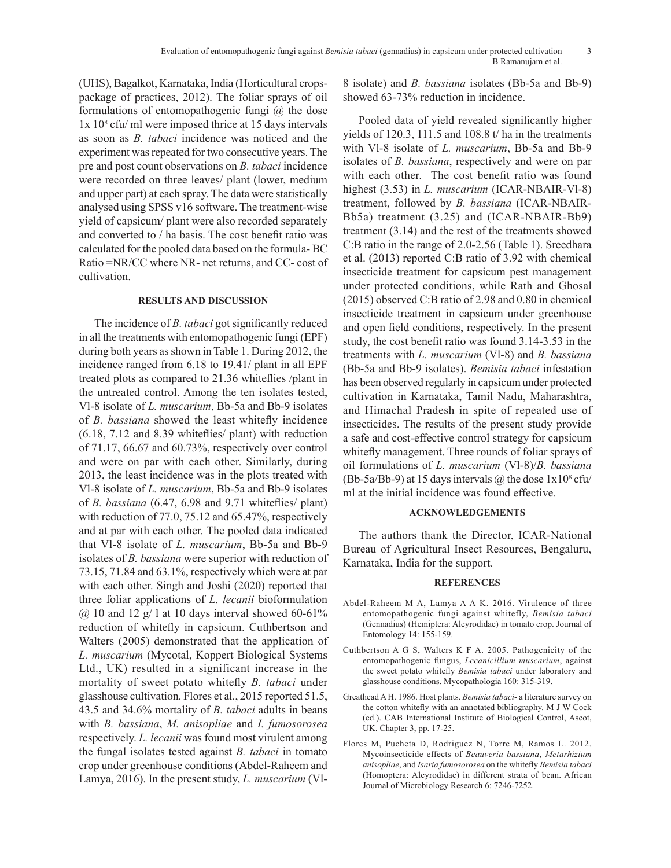(UHS), Bagalkot, Karnataka, India (Horticultural cropspackage of practices, 2012). The foliar sprays of oil formulations of entomopathogenic fungi  $\omega$  the dose 1x 108 cfu/ ml were imposed thrice at 15 days intervals as soon as *B. tabaci* incidence was noticed and the experiment was repeated for two consecutive years. The pre and post count observations on *B. tabaci* incidence were recorded on three leaves/ plant (lower, medium and upper part) at each spray. The data were statistically analysed using SPSS v16 software. The treatment-wise yield of capsicum/ plant were also recorded separately and converted to / ha basis. The cost benefit ratio was calculated for the pooled data based on the formula- BC Ratio =NR/CC where NR- net returns, and CC- cost of cultivation.

## **RESULTS AND DISCUSSION**

The incidence of *B. tabaci* got significantly reduced in all the treatments with entomopathogenic fungi (EPF) during both years as shown in Table 1. During 2012, the incidence ranged from 6.18 to 19.41/ plant in all EPF treated plots as compared to 21.36 whiteflies /plant in the untreated control. Among the ten isolates tested, Vl-8 isolate of *L. muscarium*, Bb-5a and Bb-9 isolates of *B. bassiana* showed the least whitefly incidence (6.18, 7.12 and 8.39 whiteflies/ plant) with reduction of 71.17, 66.67 and 60.73%, respectively over control and were on par with each other. Similarly, during 2013, the least incidence was in the plots treated with Vl-8 isolate of *L. muscarium*, Bb-5a and Bb-9 isolates of *B. bassiana* (6.47, 6.98 and 9.71 whiteflies/ plant) with reduction of 77.0, 75.12 and 65.47%, respectively and at par with each other. The pooled data indicated that Vl-8 isolate of *L. muscarium*, Bb-5a and Bb-9 isolates of *B. bassiana* were superior with reduction of 73.15, 71.84 and 63.1%, respectively which were at par with each other. Singh and Joshi (2020) reported that three foliar applications of *L. lecanii* bioformulation  $\omega$  10 and 12 g/ l at 10 days interval showed 60-61% reduction of whitefly in capsicum. Cuthbertson and Walters (2005) demonstrated that the application of *L. muscarium* (Mycotal, Koppert Biological Systems Ltd., UK) resulted in a significant increase in the mortality of sweet potato whitefly *B. tabaci* under glasshouse cultivation. Flores et al., 2015 reported 51.5, 43.5 and 34.6% mortality of *B. tabaci* adults in beans with *B. bassiana*, *M. anisopliae* and *I. fumosorosea* respectively. *L. lecanii* was found most virulent among the fungal isolates tested against *B. tabaci* in tomato crop under greenhouse conditions (Abdel-Raheem and Lamya, 2016). In the present study, *L. muscarium* (Vl8 isolate) and *B. bassiana* isolates (Bb-5a and Bb-9) showed 63-73% reduction in incidence.

Pooled data of yield revealed significantly higher yields of 120.3, 111.5 and 108.8 t/ ha in the treatments with Vl-8 isolate of *L. muscarium*, Bb-5a and Bb-9 isolates of *B. bassiana*, respectively and were on par with each other. The cost benefit ratio was found highest (3.53) in *L. muscarium* (ICAR-NBAIR-Vl-8) treatment, followed by *B. bassiana* (ICAR-NBAIR-Bb5a) treatment (3.25) and (ICAR-NBAIR-Bb9) treatment (3.14) and the rest of the treatments showed C:B ratio in the range of 2.0-2.56 (Table 1). Sreedhara et al. (2013) reported C:B ratio of 3.92 with chemical insecticide treatment for capsicum pest management under protected conditions, while Rath and Ghosal (2015) observed C:B ratio of 2.98 and 0.80 in chemical insecticide treatment in capsicum under greenhouse and open field conditions, respectively. In the present study, the cost benefit ratio was found 3.14-3.53 in the treatments with *L. muscarium* (Vl-8) and *B. bassiana* (Bb-5a and Bb-9 isolates). *Bemisia tabaci* infestation has been observed regularly in capsicum under protected cultivation in Karnataka, Tamil Nadu, Maharashtra, and Himachal Pradesh in spite of repeated use of insecticides. The results of the present study provide a safe and cost-effective control strategy for capsicum whitefly management. Three rounds of foliar sprays of oil formulations of *L. muscarium* (Vl-8)/*B. bassiana*  $(Bb-5a/Bb-9)$  at 15 days intervals  $\omega$  the dose  $1x10^8$  cfu/ ml at the initial incidence was found effective.

### **ACKNOWLEDGEMENTS**

The authors thank the Director, ICAR-National Bureau of Agricultural Insect Resources, Bengaluru, Karnataka, India for the support.

#### **REFERENCES**

- Abdel-Raheem M A, Lamya A A K. 2016. Virulence of three entomopathogenic fungi against whitefly, *Bemisia tabaci* (Gennadius) (Hemiptera: Aleyrodidae) in tomato crop. Journal of Entomology 14: 155-159.
- Cuthbertson A G S, Walters K F A. 2005. Pathogenicity of the entomopathogenic fungus, *Lecanicillium muscarium*, against the sweet potato whitefly *Bemisia tabaci* under laboratory and glasshouse conditions. Mycopathologia 160: 315-319.
- Greathead A H. 1986. Host plants. *Bemisia tabaci* a literature survey on the cotton whitefly with an annotated bibliography. M J W Cock (ed.). CAB International Institute of Biological Control, Ascot, UK. Chapter 3, pp. 17-25.
- Flores M, Pucheta D, Rodriguez N, Torre M, Ramos L. 2012. Mycoinsecticide effects of *Beauveria bassiana*, *Metarhizium anisopliae*, and *Isaria fumosorosea* on the whitefly *Bemisia tabaci* (Homoptera: Aleyrodidae) in different strata of bean. African Journal of Microbiology Research 6: 7246-7252.